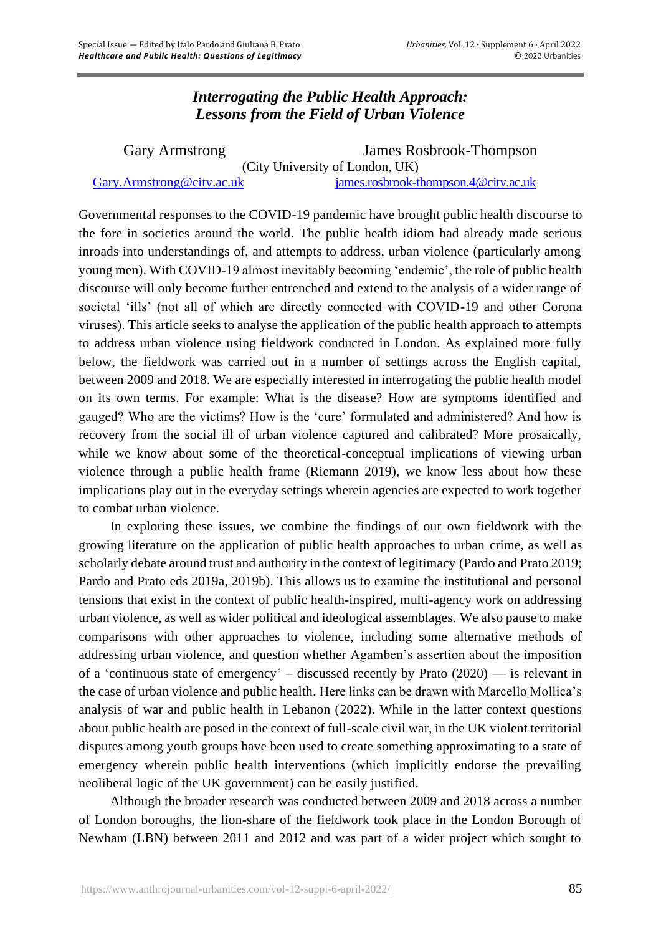## *Interrogating the Public Health Approach: Lessons from the Field of Urban Violence*

| <b>Gary Armstrong</b>           | James Rosbrook-Thompson                 |
|---------------------------------|-----------------------------------------|
| (City University of London, UK) |                                         |
| Gary.Armstrong@city.ac.uk       | $j$ ames.rosbrook-thompson.4@city.ac.uk |

Governmental responses to the COVID-19 pandemic have brought public health discourse to the fore in societies around the world. The public health idiom had already made serious inroads into understandings of, and attempts to address, urban violence (particularly among young men). With COVID-19 almost inevitably becoming 'endemic', the role of public health discourse will only become further entrenched and extend to the analysis of a wider range of societal 'ills' (not all of which are directly connected with COVID-19 and other Corona viruses). This article seeks to analyse the application of the public health approach to attempts to address urban violence using fieldwork conducted in London. As explained more fully below, the fieldwork was carried out in a number of settings across the English capital, between 2009 and 2018. We are especially interested in interrogating the public health model on its own terms. For example: What is the disease? How are symptoms identified and gauged? Who are the victims? How is the 'cure' formulated and administered? And how is recovery from the social ill of urban violence captured and calibrated? More prosaically, while we know about some of the theoretical-conceptual implications of viewing urban violence through a public health frame (Riemann 2019), we know less about how these implications play out in the everyday settings wherein agencies are expected to work together to combat urban violence.

In exploring these issues, we combine the findings of our own fieldwork with the growing literature on the application of public health approaches to urban crime, as well as scholarly debate around trust and authority in the context of legitimacy (Pardo and Prato 2019; Pardo and Prato eds 2019a, 2019b). This allows us to examine the institutional and personal tensions that exist in the context of public health-inspired, multi-agency work on addressing urban violence, as well as wider political and ideological assemblages. We also pause to make comparisons with other approaches to violence, including some alternative methods of addressing urban violence, and question whether Agamben's assertion about the imposition of a 'continuous state of emergency' – discussed recently by Prato (2020) — is relevant in the case of urban violence and public health. Here links can be drawn with Marcello Mollica's analysis of war and public health in Lebanon (2022). While in the latter context questions about public health are posed in the context of full-scale civil war, in the UK violent territorial disputes among youth groups have been used to create something approximating to a state of emergency wherein public health interventions (which implicitly endorse the prevailing neoliberal logic of the UK government) can be easily justified.

Although the broader research was conducted between 2009 and 2018 across a number of London boroughs, the lion-share of the fieldwork took place in the London Borough of Newham (LBN) between 2011 and 2012 and was part of a wider project which sought to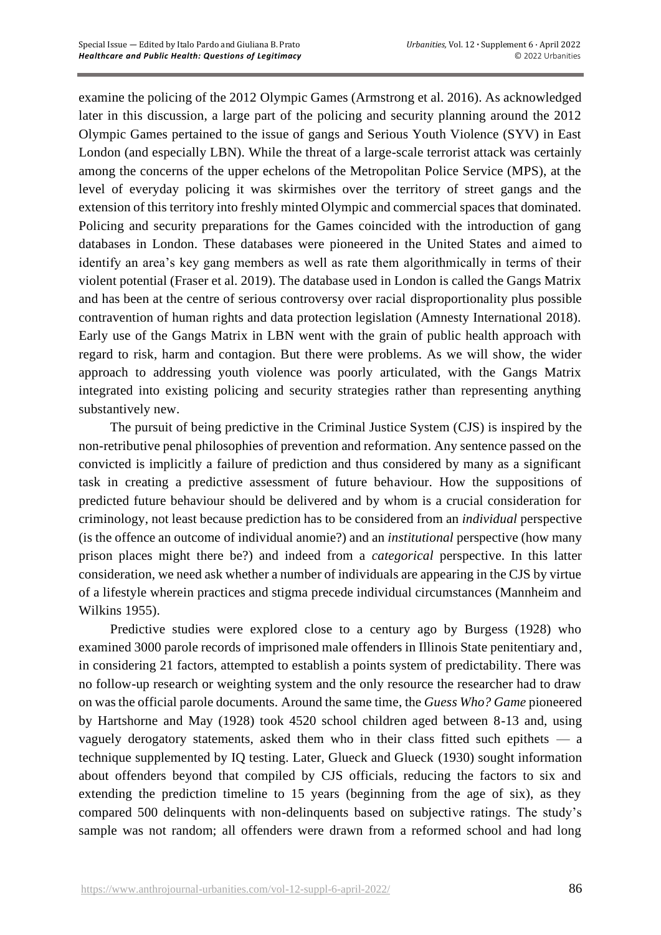examine the policing of the 2012 Olympic Games (Armstrong et al. 2016). As acknowledged later in this discussion, a large part of the policing and security planning around the 2012 Olympic Games pertained to the issue of gangs and Serious Youth Violence (SYV) in East London (and especially LBN). While the threat of a large-scale terrorist attack was certainly among the concerns of the upper echelons of the Metropolitan Police Service (MPS), at the level of everyday policing it was skirmishes over the territory of street gangs and the extension of this territory into freshly minted Olympic and commercial spaces that dominated. Policing and security preparations for the Games coincided with the introduction of gang databases in London. These databases were pioneered in the United States and aimed to identify an area's key gang members as well as rate them algorithmically in terms of their violent potential (Fraser et al. 2019). The database used in London is called the Gangs Matrix and has been at the centre of serious controversy over racial disproportionality plus possible contravention of human rights and data protection legislation (Amnesty International 2018). Early use of the Gangs Matrix in LBN went with the grain of public health approach with regard to risk, harm and contagion. But there were problems. As we will show, the wider approach to addressing youth violence was poorly articulated, with the Gangs Matrix integrated into existing policing and security strategies rather than representing anything substantively new.

The pursuit of being predictive in the Criminal Justice System (CJS) is inspired by the non-retributive penal philosophies of prevention and reformation. Any sentence passed on the convicted is implicitly a failure of prediction and thus considered by many as a significant task in creating a predictive assessment of future behaviour. How the suppositions of predicted future behaviour should be delivered and by whom is a crucial consideration for criminology, not least because prediction has to be considered from an *individual* perspective (is the offence an outcome of individual anomie?) and an *institutional* perspective (how many prison places might there be?) and indeed from a *categorical* perspective. In this latter consideration, we need ask whether a number of individuals are appearing in the CJS by virtue of a lifestyle wherein practices and stigma precede individual circumstances (Mannheim and Wilkins 1955).

Predictive studies were explored close to a century ago by Burgess (1928) who examined 3000 parole records of imprisoned male offenders in Illinois State penitentiary and, in considering 21 factors, attempted to establish a points system of predictability. There was no follow-up research or weighting system and the only resource the researcher had to draw on was the official parole documents. Around the same time, the *Guess Who? Game* pioneered by Hartshorne and May (1928) took 4520 school children aged between 8-13 and, using vaguely derogatory statements, asked them who in their class fitted such epithets — a technique supplemented by IQ testing. Later, Glueck and Glueck (1930) sought information about offenders beyond that compiled by CJS officials, reducing the factors to six and extending the prediction timeline to 15 years (beginning from the age of six), as they compared 500 delinquents with non-delinquents based on subjective ratings. The study's sample was not random; all offenders were drawn from a reformed school and had long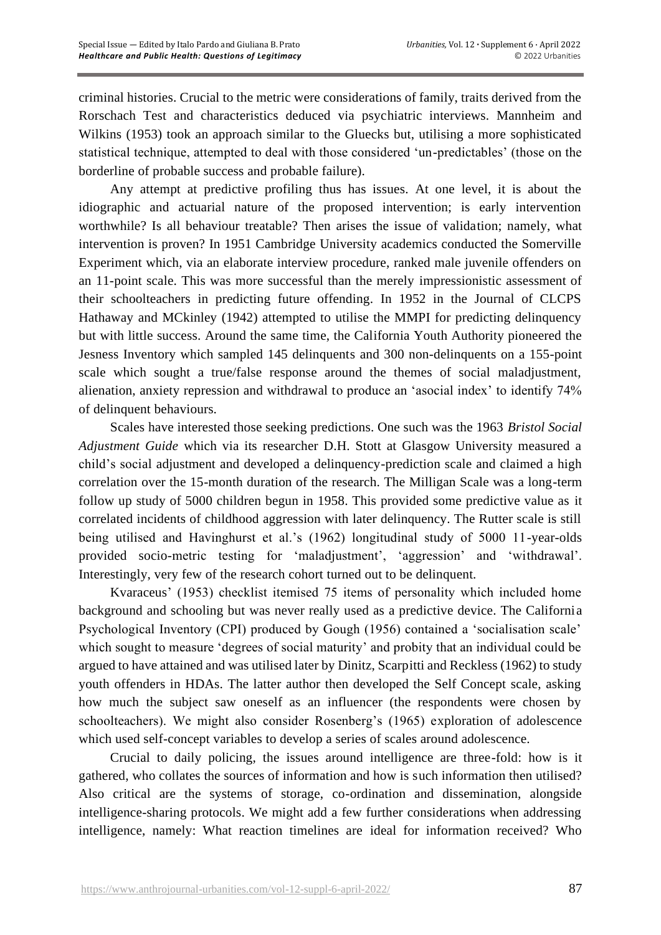criminal histories. Crucial to the metric were considerations of family, traits derived from the Rorschach Test and characteristics deduced via psychiatric interviews. Mannheim and Wilkins (1953) took an approach similar to the Gluecks but, utilising a more sophisticated statistical technique, attempted to deal with those considered 'un-predictables' (those on the borderline of probable success and probable failure).

Any attempt at predictive profiling thus has issues. At one level, it is about the idiographic and actuarial nature of the proposed intervention; is early intervention worthwhile? Is all behaviour treatable? Then arises the issue of validation; namely, what intervention is proven? In 1951 Cambridge University academics conducted the Somerville Experiment which, via an elaborate interview procedure, ranked male juvenile offenders on an 11-point scale. This was more successful than the merely impressionistic assessment of their schoolteachers in predicting future offending. In 1952 in the Journal of CLCPS Hathaway and MCkinley (1942) attempted to utilise the MMPI for predicting delinquency but with little success. Around the same time, the California Youth Authority pioneered the Jesness Inventory which sampled 145 delinquents and 300 non-delinquents on a 155-point scale which sought a true/false response around the themes of social maladjustment, alienation, anxiety repression and withdrawal to produce an 'asocial index' to identify 74% of delinquent behaviours.

Scales have interested those seeking predictions. One such was the 1963 *Bristol Social Adjustment Guide* which via its researcher D.H. Stott at Glasgow University measured a child's social adjustment and developed a delinquency-prediction scale and claimed a high correlation over the 15-month duration of the research. The Milligan Scale was a long-term follow up study of 5000 children begun in 1958. This provided some predictive value as it correlated incidents of childhood aggression with later delinquency. The Rutter scale is still being utilised and Havinghurst et al.'s (1962) longitudinal study of 5000 11-year-olds provided socio-metric testing for 'maladjustment', 'aggression' and 'withdrawal'. Interestingly, very few of the research cohort turned out to be delinquent.

Kvaraceus' (1953) checklist itemised 75 items of personality which included home background and schooling but was never really used as a predictive device. The California Psychological Inventory (CPI) produced by Gough (1956) contained a 'socialisation scale' which sought to measure 'degrees of social maturity' and probity that an individual could be argued to have attained and was utilised later by Dinitz, Scarpitti and Reckless (1962) to study youth offenders in HDAs. The latter author then developed the Self Concept scale, asking how much the subject saw oneself as an influencer (the respondents were chosen by schoolteachers). We might also consider Rosenberg's (1965) exploration of adolescence which used self-concept variables to develop a series of scales around adolescence.

Crucial to daily policing, the issues around intelligence are three-fold: how is it gathered, who collates the sources of information and how is such information then utilised? Also critical are the systems of storage, co-ordination and dissemination, alongside intelligence-sharing protocols. We might add a few further considerations when addressing intelligence, namely: What reaction timelines are ideal for information received? Who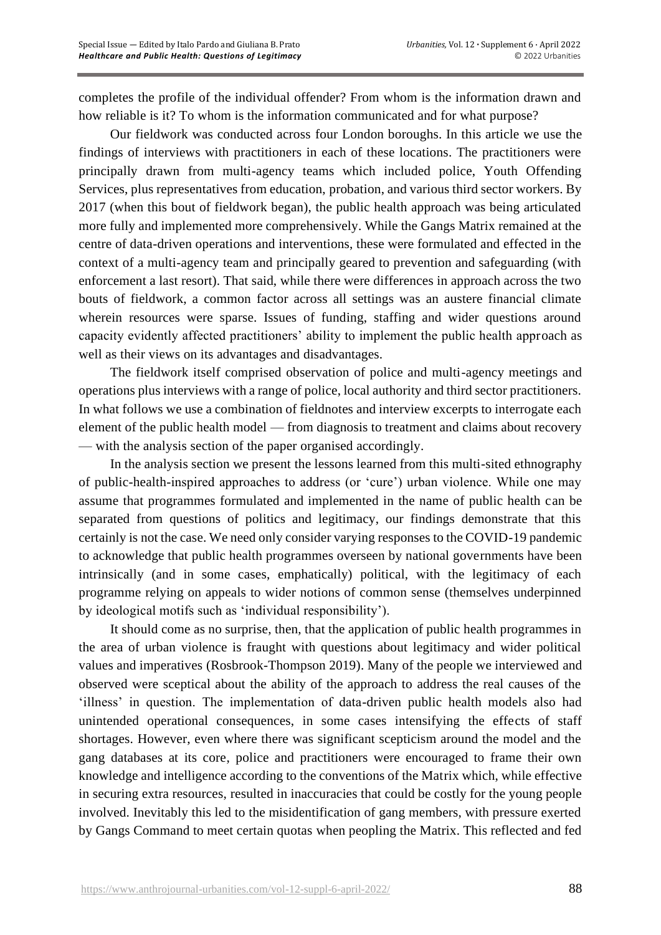completes the profile of the individual offender? From whom is the information drawn and how reliable is it? To whom is the information communicated and for what purpose?

Our fieldwork was conducted across four London boroughs. In this article we use the findings of interviews with practitioners in each of these locations. The practitioners were principally drawn from multi-agency teams which included police, Youth Offending Services, plus representatives from education, probation, and various third sector workers. By 2017 (when this bout of fieldwork began), the public health approach was being articulated more fully and implemented more comprehensively. While the Gangs Matrix remained at the centre of data-driven operations and interventions, these were formulated and effected in the context of a multi-agency team and principally geared to prevention and safeguarding (with enforcement a last resort). That said, while there were differences in approach across the two bouts of fieldwork, a common factor across all settings was an austere financial climate wherein resources were sparse. Issues of funding, staffing and wider questions around capacity evidently affected practitioners' ability to implement the public health approach as well as their views on its advantages and disadvantages.

The fieldwork itself comprised observation of police and multi-agency meetings and operations plus interviews with a range of police, local authority and third sector practitioners. In what follows we use a combination of fieldnotes and interview excerpts to interrogate each element of the public health model — from diagnosis to treatment and claims about recovery — with the analysis section of the paper organised accordingly.

In the analysis section we present the lessons learned from this multi-sited ethnography of public-health-inspired approaches to address (or 'cure') urban violence. While one may assume that programmes formulated and implemented in the name of public health can be separated from questions of politics and legitimacy, our findings demonstrate that this certainly is not the case. We need only consider varying responses to the COVID-19 pandemic to acknowledge that public health programmes overseen by national governments have been intrinsically (and in some cases, emphatically) political, with the legitimacy of each programme relying on appeals to wider notions of common sense (themselves underpinned by ideological motifs such as 'individual responsibility').

It should come as no surprise, then, that the application of public health programmes in the area of urban violence is fraught with questions about legitimacy and wider political values and imperatives (Rosbrook-Thompson 2019). Many of the people we interviewed and observed were sceptical about the ability of the approach to address the real causes of the 'illness' in question. The implementation of data-driven public health models also had unintended operational consequences, in some cases intensifying the effects of staff shortages. However, even where there was significant scepticism around the model and the gang databases at its core, police and practitioners were encouraged to frame their own knowledge and intelligence according to the conventions of the Matrix which, while effective in securing extra resources, resulted in inaccuracies that could be costly for the young people involved. Inevitably this led to the misidentification of gang members, with pressure exerted by Gangs Command to meet certain quotas when peopling the Matrix. This reflected and fed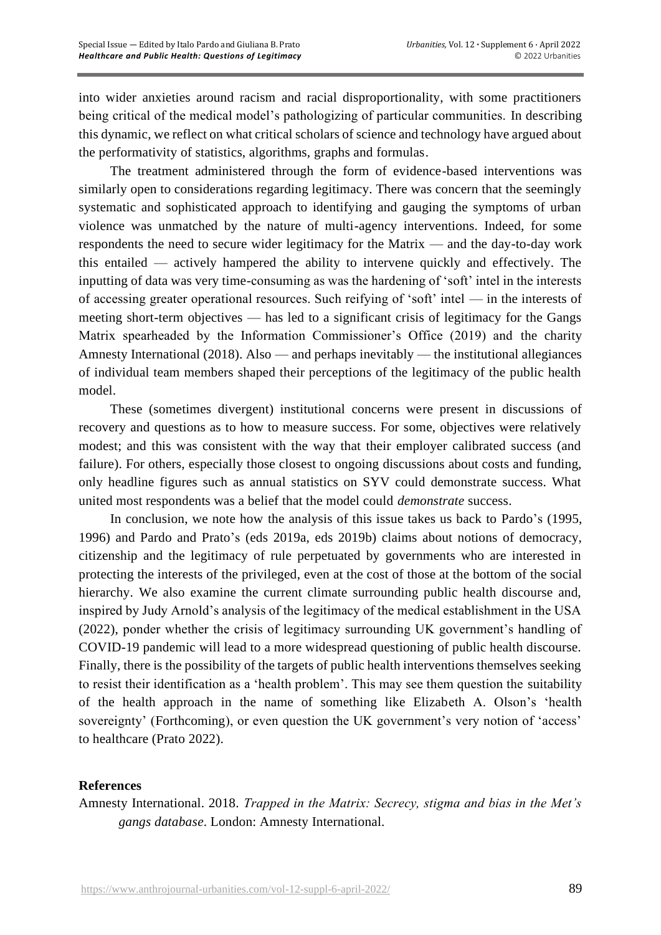into wider anxieties around racism and racial disproportionality, with some practitioners being critical of the medical model's pathologizing of particular communities. In describing this dynamic, we reflect on what critical scholars of science and technology have argued about the performativity of statistics, algorithms, graphs and formulas.

The treatment administered through the form of evidence-based interventions was similarly open to considerations regarding legitimacy. There was concern that the seemingly systematic and sophisticated approach to identifying and gauging the symptoms of urban violence was unmatched by the nature of multi-agency interventions. Indeed, for some respondents the need to secure wider legitimacy for the Matrix — and the day-to-day work this entailed — actively hampered the ability to intervene quickly and effectively. The inputting of data was very time-consuming as was the hardening of 'soft' intel in the interests of accessing greater operational resources. Such reifying of 'soft' intel — in the interests of meeting short-term objectives — has led to a significant crisis of legitimacy for the Gangs Matrix spearheaded by the Information Commissioner's Office (2019) and the charity Amnesty International (2018). Also — and perhaps inevitably — the institutional allegiances of individual team members shaped their perceptions of the legitimacy of the public health model.

These (sometimes divergent) institutional concerns were present in discussions of recovery and questions as to how to measure success. For some, objectives were relatively modest; and this was consistent with the way that their employer calibrated success (and failure). For others, especially those closest to ongoing discussions about costs and funding, only headline figures such as annual statistics on SYV could demonstrate success. What united most respondents was a belief that the model could *demonstrate* success.

In conclusion, we note how the analysis of this issue takes us back to Pardo's (1995, 1996) and Pardo and Prato's (eds 2019a, eds 2019b) claims about notions of democracy, citizenship and the legitimacy of rule perpetuated by governments who are interested in protecting the interests of the privileged, even at the cost of those at the bottom of the social hierarchy. We also examine the current climate surrounding public health discourse and, inspired by Judy Arnold's analysis of the legitimacy of the medical establishment in the USA (2022), ponder whether the crisis of legitimacy surrounding UK government's handling of COVID-19 pandemic will lead to a more widespread questioning of public health discourse. Finally, there is the possibility of the targets of public health interventions themselves seeking to resist their identification as a 'health problem'. This may see them question the suitability of the health approach in the name of something like Elizabeth A. Olson's 'health sovereignty' (Forthcoming), or even question the UK government's very notion of 'access' to healthcare (Prato 2022).

## **References**

Amnesty International. 2018. *Trapped in the Matrix: Secrecy, stigma and bias in the Met's gangs database*. London: Amnesty International.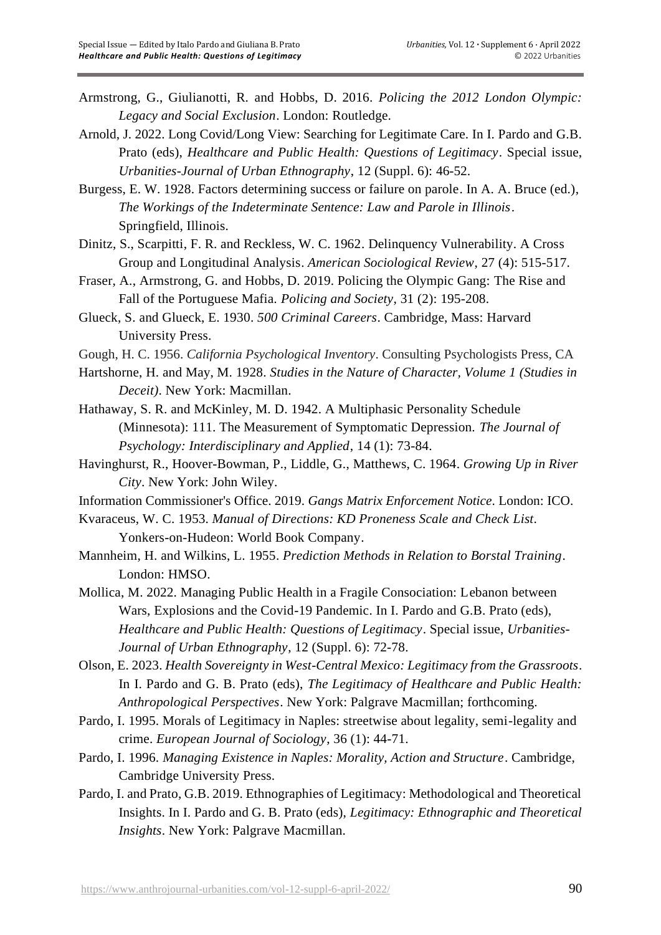- Armstrong, G., Giulianotti, R. and Hobbs, D. 2016. *Policing the 2012 London Olympic: Legacy and Social Exclusion*. London: Routledge.
- Arnold, J. 2022. Long Covid/Long View: Searching for Legitimate Care. In I. Pardo and G.B. Prato (eds), *Healthcare and Public Health: Questions of Legitimacy*. Special issue, *Urbanities-Journal of Urban Ethnography*, 12 (Suppl. 6): 46-52.
- Burgess, E. W. 1928. Factors determining success or failure on parole. In A. A. Bruce (ed.), *The Workings of the Indeterminate Sentence: Law and Parole in Illinois*. Springfield, Illinois.
- Dinitz, S., Scarpitti, F. R. and Reckless, W. C. 1962. Delinquency Vulnerability. A Cross Group and Longitudinal Analysis. *American Sociological Review*, 27 (4): 515-517.
- Fraser, A., Armstrong, G. and Hobbs, D. 2019. Policing the Olympic Gang: The Rise and Fall of the Portuguese Mafia. *Policing and Society*, 31 (2): 195-208.
- Glueck, S. and Glueck, E. 1930. *500 Criminal Careers*. Cambridge, Mass: Harvard University Press.
- Gough, H. C. 1956. *California Psychological Inventory*. Consulting Psychologists Press, CA
- Hartshorne, H. and May, M. 1928. *Studies in the Nature of Character, Volume 1 (Studies in Deceit)*. New York: Macmillan.
- Hathaway, S. R. and McKinley, M. D. 1942. A Multiphasic Personality Schedule (Minnesota): 111. The Measurement of Symptomatic Depression. *The Journal of Psychology: Interdisciplinary and Applied*, 14 (1): 73-84.
- Havinghurst, R., Hoover-Bowman, P., Liddle, G., Matthews, C. 1964. *Growing Up in River City*. New York: John Wiley.
- Information Commissioner's Office. 2019. *Gangs Matrix Enforcement Notice*. London: ICO.
- Kvaraceus, W. C. 1953. *Manual of Directions: KD Proneness Scale and Check List*. Yonkers-on-Hudeon: World Book Company.
- Mannheim, H. and Wilkins, L. 1955. *Prediction Methods in Relation to Borstal Training*. London: HMSO.
- Mollica, M. 2022. Managing Public Health in a Fragile Consociation: Lebanon between Wars, Explosions and the Covid-19 Pandemic. In I. Pardo and G.B. Prato (eds), *Healthcare and Public Health: Questions of Legitimacy*. Special issue, *Urbanities-Journal of Urban Ethnography*, 12 (Suppl. 6): 72-78.
- Olson, E. 2023. *Health Sovereignty in West-Central Mexico: Legitimacy from the Grassroots*. In I. Pardo and G. B. Prato (eds), *The Legitimacy of Healthcare and Public Health: Anthropological Perspectives*. New York: Palgrave Macmillan; forthcoming.
- Pardo, I. 1995. Morals of Legitimacy in Naples: streetwise about legality, semi-legality and crime. *European Journal of Sociology*, 36 (1): 44-71.
- Pardo, I. 1996. *Managing Existence in Naples: Morality, Action and Structure*. Cambridge, Cambridge University Press.
- Pardo, I. and Prato, G.B. 2019. Ethnographies of Legitimacy: Methodological and Theoretical Insights. In I. Pardo and G. B. Prato (eds), *Legitimacy: Ethnographic and Theoretical Insights*. New York: Palgrave Macmillan.